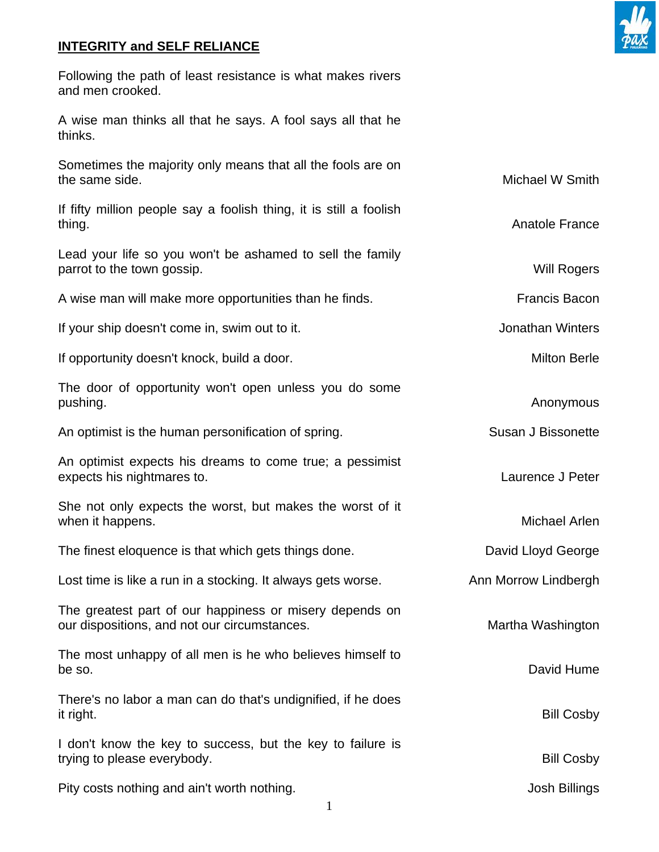## **INTEGRITY and SELF RELIANCE**

and men crooked.

thinks.



If opportunity doesn't knock, build a door. Milton Berle

The door of opportunity won't open unless you do some pushing. Anonymous

An optimist is the human personification of spring. Susan J Bissonette

An optimist expects his dreams to come true; a pessimist expects his nightmares to. Laurence J Peter

She not only expects the worst, but makes the worst of it when it happens. The same state of the state of the state of the state of the Michael Arlen

The finest eloquence is that which gets things done. The manufacture bavid Lloyd George

Lost time is like a run in a stocking. It always gets worse. Ann Morrow Lindbergh

The greatest part of our happiness or misery depends on our dispositions, and not our circumstances. The matter of the Martha Washington

The most unhappy of all men is he who believes himself to be so. David Hume

There's no labor a man can do that's undignified, if he does it right. Bill Cosby

I don't know the key to success, but the key to failure is trying to please everybody. The state of the state of the state of the Bill Cosby

Pity costs nothing and ain't worth nothing. The same state of the state of the state of the state of the state of the state of the state of the state of the state of the state of the state of the state of the state of the

1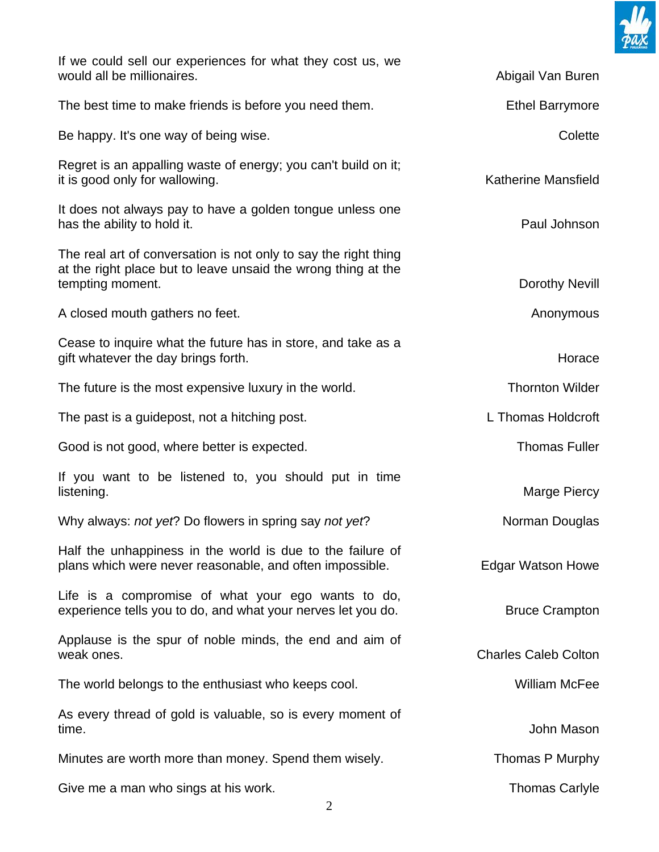

| If we could sell our experiences for what they cost us, we<br>would all be millionaires.                                                             | Abigail Van Buren           |
|------------------------------------------------------------------------------------------------------------------------------------------------------|-----------------------------|
| The best time to make friends is before you need them.                                                                                               | <b>Ethel Barrymore</b>      |
| Be happy. It's one way of being wise.                                                                                                                | Colette                     |
| Regret is an appalling waste of energy; you can't build on it;<br>it is good only for wallowing.                                                     | <b>Katherine Mansfield</b>  |
| It does not always pay to have a golden tongue unless one<br>has the ability to hold it.                                                             | Paul Johnson                |
| The real art of conversation is not only to say the right thing<br>at the right place but to leave unsaid the wrong thing at the<br>tempting moment. | Dorothy Nevill              |
| A closed mouth gathers no feet.                                                                                                                      | Anonymous                   |
| Cease to inquire what the future has in store, and take as a<br>gift whatever the day brings forth.                                                  | Horace                      |
| The future is the most expensive luxury in the world.                                                                                                | <b>Thornton Wilder</b>      |
| The past is a guidepost, not a hitching post.                                                                                                        | L Thomas Holdcroft          |
| Good is not good, where better is expected.                                                                                                          | <b>Thomas Fuller</b>        |
| If you want to be listened to, you should put in time<br>listening.                                                                                  | Marge Piercy                |
| Why always: not yet? Do flowers in spring say not yet?                                                                                               | Norman Douglas              |
| Half the unhappiness in the world is due to the failure of<br>plans which were never reasonable, and often impossible.                               | <b>Edgar Watson Howe</b>    |
| Life is a compromise of what your ego wants to do,<br>experience tells you to do, and what your nerves let you do.                                   | <b>Bruce Crampton</b>       |
| Applause is the spur of noble minds, the end and aim of<br>weak ones.                                                                                | <b>Charles Caleb Colton</b> |
| The world belongs to the enthusiast who keeps cool.                                                                                                  | <b>William McFee</b>        |
| As every thread of gold is valuable, so is every moment of<br>time.                                                                                  | John Mason                  |
| Minutes are worth more than money. Spend them wisely.                                                                                                | Thomas P Murphy             |
| Give me a man who sings at his work.                                                                                                                 | <b>Thomas Carlyle</b>       |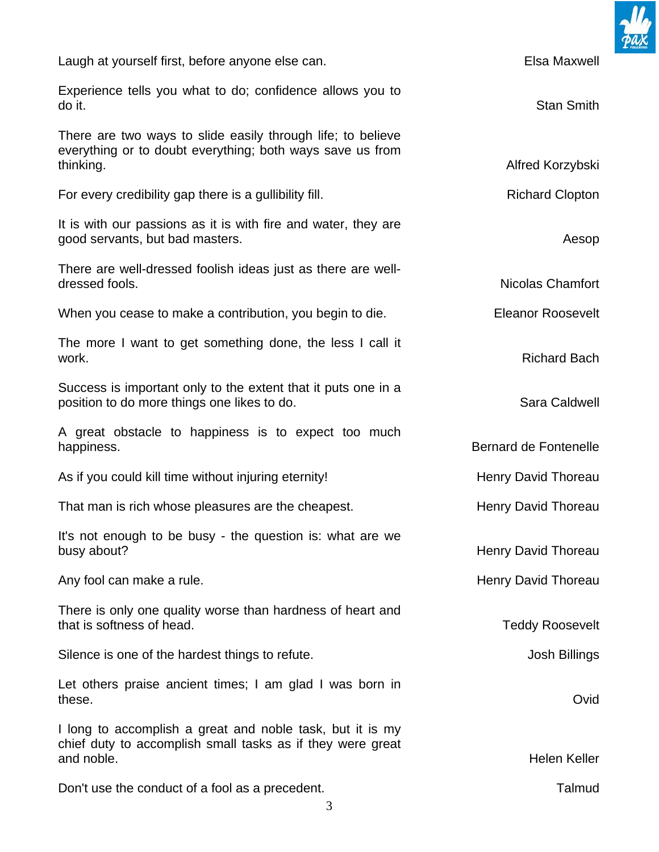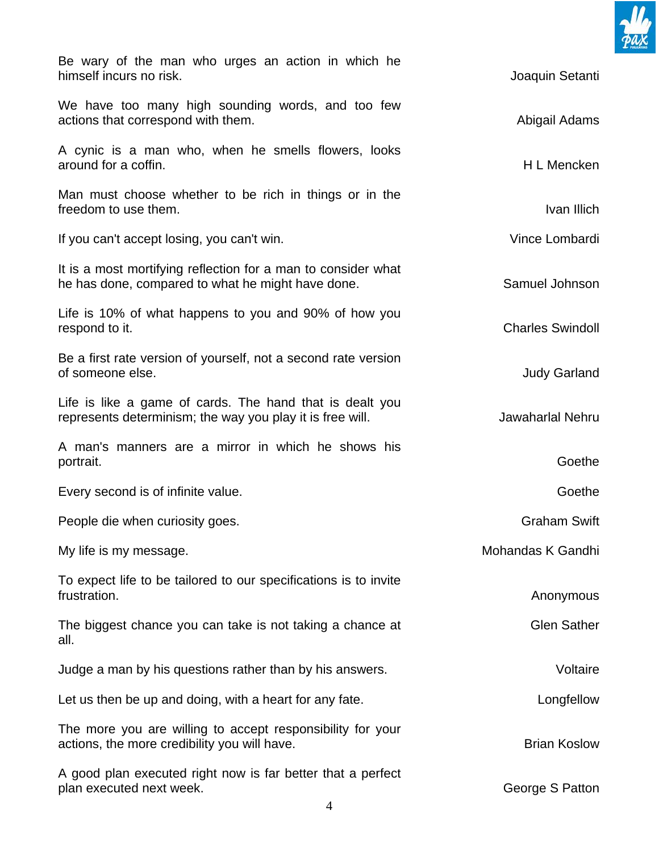

| Be wary of the man who urges an action in which he<br>himself incurs no risk.                                         | Joaquin Setanti         |
|-----------------------------------------------------------------------------------------------------------------------|-------------------------|
| We have too many high sounding words, and too few<br>actions that correspond with them.                               | Abigail Adams           |
| A cynic is a man who, when he smells flowers, looks<br>around for a coffin.                                           | H L Mencken             |
| Man must choose whether to be rich in things or in the<br>freedom to use them.                                        | Ivan Illich             |
| If you can't accept losing, you can't win.                                                                            | Vince Lombardi          |
| It is a most mortifying reflection for a man to consider what<br>he has done, compared to what he might have done.    | Samuel Johnson          |
| Life is 10% of what happens to you and 90% of how you<br>respond to it.                                               | <b>Charles Swindoll</b> |
| Be a first rate version of yourself, not a second rate version<br>of someone else.                                    | <b>Judy Garland</b>     |
| Life is like a game of cards. The hand that is dealt you<br>represents determinism; the way you play it is free will. | <b>Jawaharlal Nehru</b> |
| A man's manners are a mirror in which he shows his<br>portrait.                                                       | Goethe                  |
| Every second is of infinite value.                                                                                    | Goethe                  |
| People die when curiosity goes.                                                                                       | <b>Graham Swift</b>     |
| My life is my message.                                                                                                | Mohandas K Gandhi       |
| To expect life to be tailored to our specifications is to invite<br>frustration.                                      | Anonymous               |
| The biggest chance you can take is not taking a chance at<br>all.                                                     | <b>Glen Sather</b>      |
| Judge a man by his questions rather than by his answers.                                                              | Voltaire                |
| Let us then be up and doing, with a heart for any fate.                                                               | Longfellow              |
| The more you are willing to accept responsibility for your<br>actions, the more credibility you will have.            | <b>Brian Koslow</b>     |
| A good plan executed right now is far better that a perfect<br>plan executed next week.                               | George S Patton         |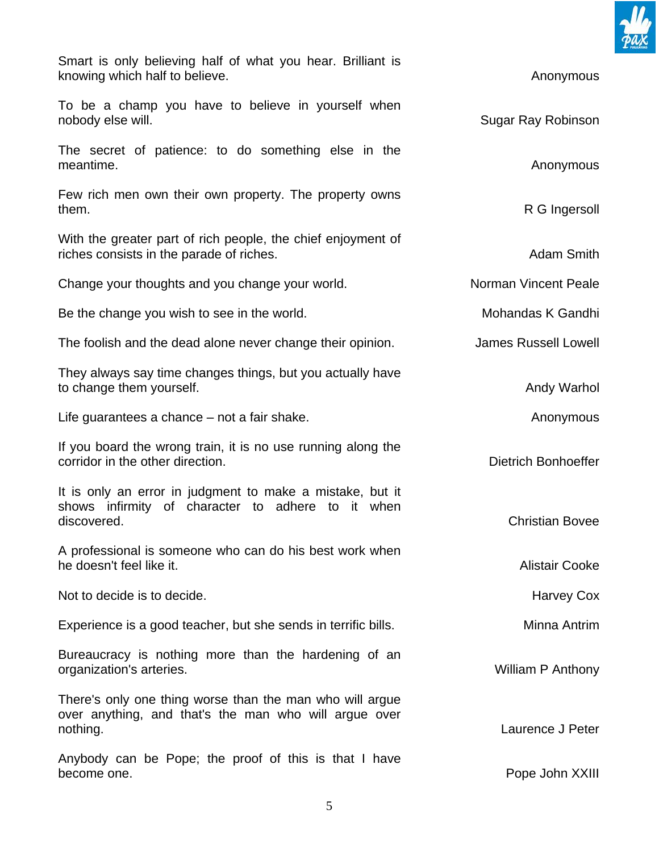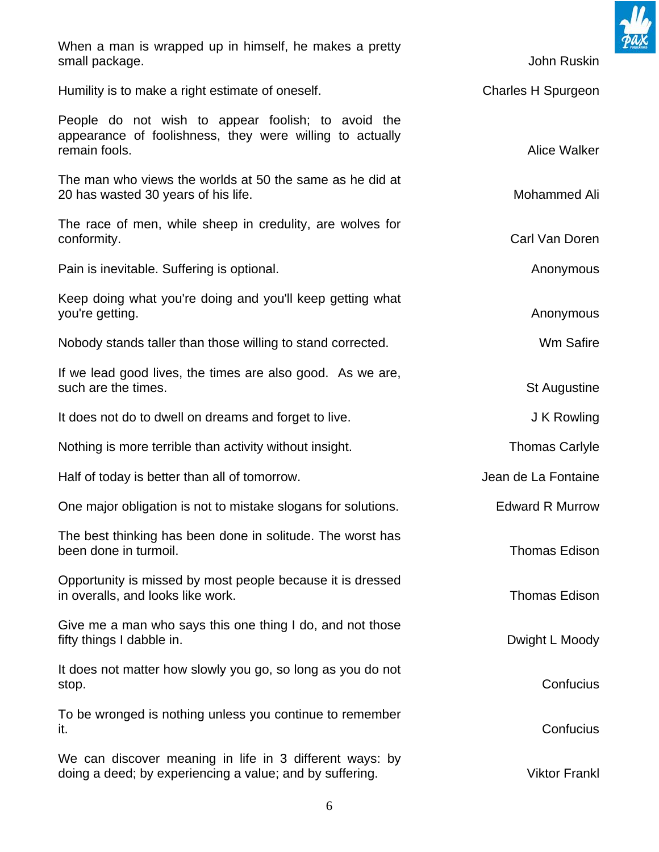

When a man is wrapped up in himself, he makes a pretty small package. John Ruskin and the state of the state of the state of the state of the state of the state of the state of the state of the state of the state of the state of the state of the state of the state of the state

Humility is to make a right estimate of oneself. Charles H Spurgeon

People do not wish to appear foolish; to avoid the appearance of foolishness, they were willing to actually remain fools. Alice Walker was a structured by the control of the control of the control of the control of the control of the control of the control of the control of the control of the control of the control of the contro

The man who views the worlds at 50 the same as he did at 20 has wasted 30 years of his life. And the same state of the Mohammed Ali

The race of men, while sheep in credulity, are wolves for conformity. Carl Van Doren Carl Van Doren Carl Van Doren Carl Van Doren Carl Van Doren Carl Van Doren Carl Van Doren Carl Van Doren Carl Van Doren Carl Van Doren Carl Van Doren Carl Van Doren Carl Van Doren Carl Van Doren

Pain is inevitable. Suffering is optional. Anonymous can be a set of the set of the set of the set of the set of the set of the set of the set of the set of the set of the set of the set of the set of the set of the set of

Keep doing what you're doing and you'll keep getting what you're getting. Anonymous contract the set of the set of the set of the set of the set of the set of the set of the set of the set of the set of the set of the set of the set of the set of the set of the set of the set of

Nobody stands taller than those willing to stand corrected. Wm Safire

If we lead good lives, the times are also good. As we are, such are the times. St Augustine such a st Augustine such a st Augustine

It does not do to dwell on dreams and forget to live. The same state of the SNS of New J K Rowling

Nothing is more terrible than activity without insight. Thomas Carlyle Thomas Carlyle

Half of today is better than all of tomorrow.<br>
Half of today is better than all of tomorrow.

One major obligation is not to mistake slogans for solutions. Edward R Murrow

The best thinking has been done in solitude. The worst has been done in turmoil. Thomas Edison

Opportunity is missed by most people because it is dressed in overalls, and looks like work. Thomas Edison and the state of the state of the state of the state of the state of the state of the state of the state of the state of the state of the state of the state of the state of t

Give me a man who says this one thing I do, and not those fifty things I dabble in. The state of the state of the state of the Dwight L Moody

It does not matter how slowly you go, so long as you do not stop. Confucius

To be wronged is nothing unless you continue to remember it. And the contract of the contract of the contract of the contract of the confucius confucius  $\mathsf{Confucius}$ 

We can discover meaning in life in 3 different ways: by doing a deed; by experiencing a value; and by suffering. The same of the Viktor Frankl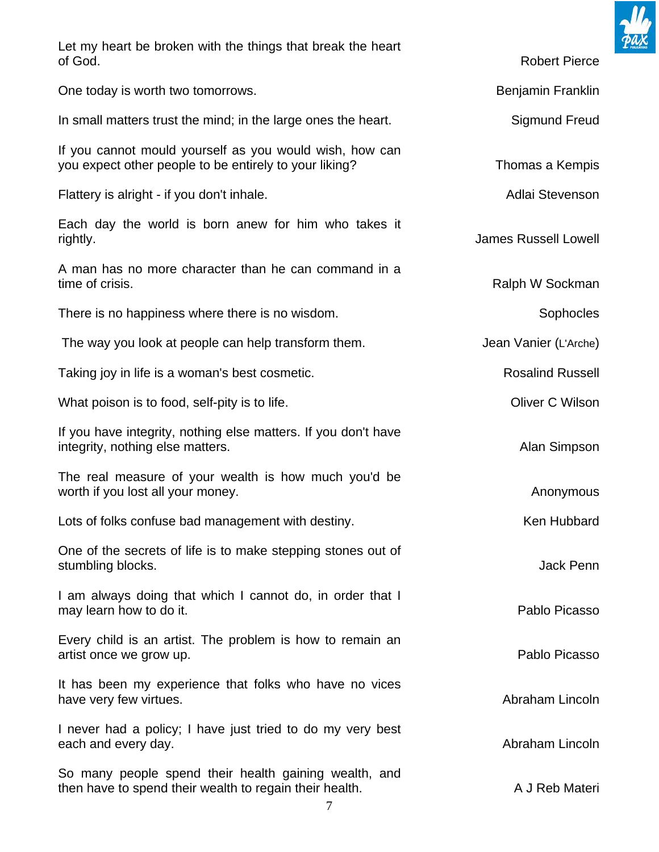

| Let my heart be broken with the things that break the heart<br>of God.                                                | <b>Robert Pierce</b>        |
|-----------------------------------------------------------------------------------------------------------------------|-----------------------------|
| One today is worth two tomorrows.                                                                                     | Benjamin Franklin           |
| In small matters trust the mind; in the large ones the heart.                                                         | <b>Sigmund Freud</b>        |
| If you cannot mould yourself as you would wish, how can<br>you expect other people to be entirely to your liking?     | Thomas a Kempis             |
| Flattery is alright - if you don't inhale.                                                                            | Adlai Stevenson             |
| Each day the world is born anew for him who takes it<br>rightly.                                                      | <b>James Russell Lowell</b> |
| A man has no more character than he can command in a<br>time of crisis.                                               | Ralph W Sockman             |
| There is no happiness where there is no wisdom.                                                                       | Sophocles                   |
| The way you look at people can help transform them.                                                                   | Jean Vanier (L'Arche)       |
| Taking joy in life is a woman's best cosmetic.                                                                        | <b>Rosalind Russell</b>     |
| What poison is to food, self-pity is to life.                                                                         | Oliver C Wilson             |
| If you have integrity, nothing else matters. If you don't have<br>integrity, nothing else matters.                    | Alan Simpson                |
| The real measure of your wealth is how much you'd be<br>worth if you lost all your money.                             | Anonymous                   |
| Lots of folks confuse bad management with destiny.                                                                    | Ken Hubbard                 |
| One of the secrets of life is to make stepping stones out of<br>stumbling blocks.                                     | Jack Penn                   |
| I am always doing that which I cannot do, in order that I<br>may learn how to do it.                                  | Pablo Picasso               |
| Every child is an artist. The problem is how to remain an<br>artist once we grow up.                                  | Pablo Picasso               |
| It has been my experience that folks who have no vices<br>have very few virtues.                                      | Abraham Lincoln             |
| I never had a policy; I have just tried to do my very best<br>each and every day.                                     | Abraham Lincoln             |
| So many people spend their health gaining wealth, and<br>then have to spend their wealth to regain their health.<br>7 | A J Reb Materi              |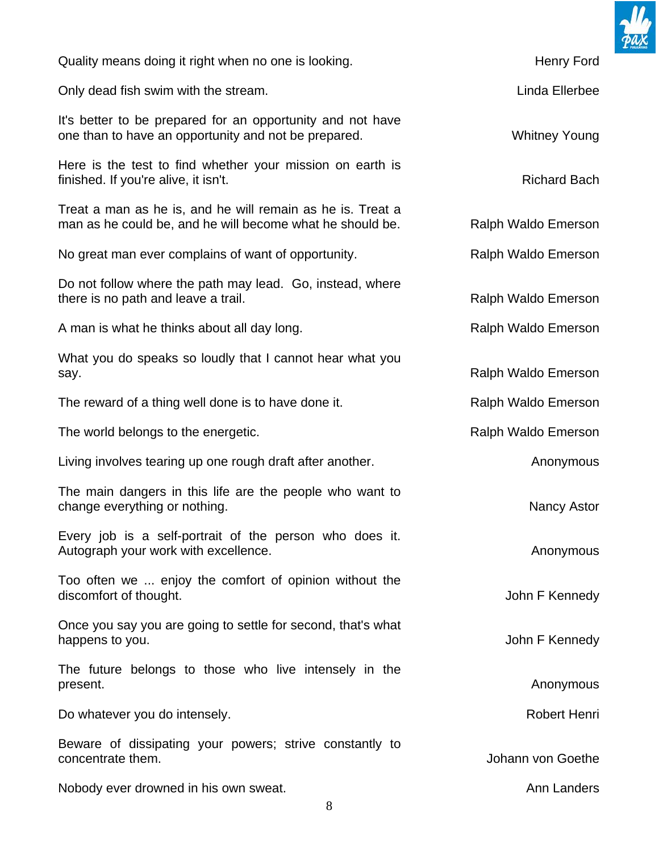

Quality means doing it right when no one is looking. The same state of the Henry Ford

Only dead fish swim with the stream. Linda Ellerbee

It's better to be prepared for an opportunity and not have one than to have an opportunity and not be prepared. The same whitney Young

Here is the test to find whether your mission on earth is finished. If you're alive, it isn't. The same state of the state of the Richard Bach

Treat a man as he is, and he will remain as he is. Treat a man as he could be, and he will become what he should be. Ralph Waldo Emerson

No great man ever complains of want of opportunity. The same Ralph Waldo Emerson

Do not follow where the path may lead. Go, instead, where there is no path and leave a trail. The state of the state of the Ralph Waldo Emerson

A man is what he thinks about all day long. The manner of the Ralph Waldo Emerson

What you do speaks so loudly that I cannot hear what you say. The same of the same of the same of the same of the same of the Ralph Waldo Emerson

The reward of a thing well done is to have done it. The reward of a thing well done is to have done it.

The world belongs to the energetic. The world belongs to the energetic.

Living involves tearing up one rough draft after another. The analysis of the Anonymous

The main dangers in this life are the people who want to change everything or nothing. Nancy Astor Nancy Astor

Every job is a self-portrait of the person who does it. Autograph your work with excellence.

Too often we ... enjoy the comfort of opinion without the discomfort of thought. The state of thought and the state of thought. The state of thought. The state of the state of the state of the state of the state of the state of the state of the state of the state of the state of

Once you say you are going to settle for second, that's what happens to you. The same of the state of the state of the state of the state of the state of the state of the state of the state of the state of the state of the state of the state of the state of the state of the state of

The future belongs to those who live intensely in the present. Anonymous and the contract of the contract of the contract of the contract of the contract of the contract of the contract of the contract of the contract of the contract of the contract of the contract of the con

Do whatever you do intensely. The same state of the set of the Robert Henri

Beware of dissipating your powers; strive constantly to concentrate them. Johann von Goethe

Nobody ever drowned in his own sweat. Annual metal was a state of the Annual Annual Annual Annual Annual Metal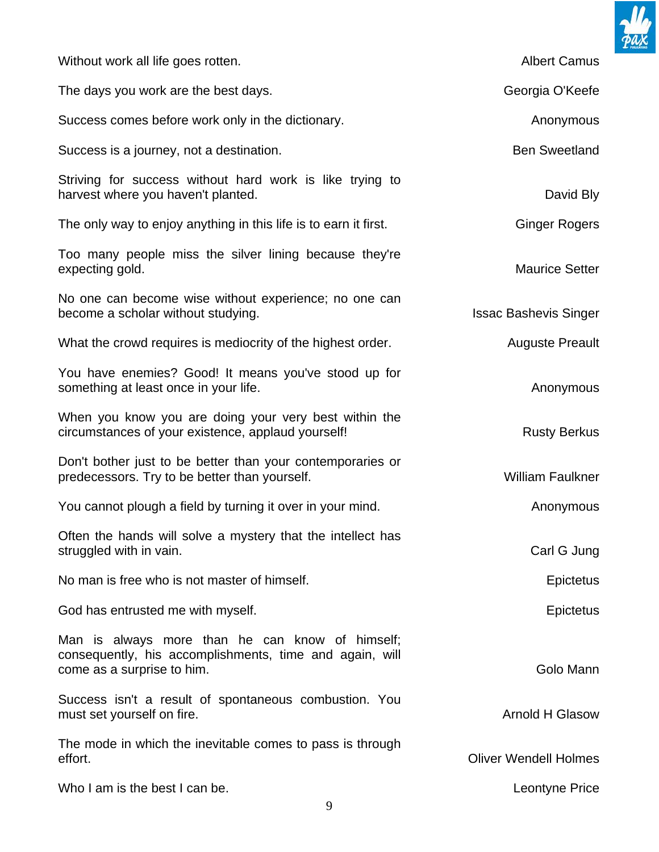

| Without work all life goes rotten.                                                                                                       | <b>Albert Camus</b>          |
|------------------------------------------------------------------------------------------------------------------------------------------|------------------------------|
| The days you work are the best days.                                                                                                     | Georgia O'Keefe              |
| Success comes before work only in the dictionary.                                                                                        | Anonymous                    |
| Success is a journey, not a destination.                                                                                                 | <b>Ben Sweetland</b>         |
| Striving for success without hard work is like trying to<br>harvest where you haven't planted.                                           | David Bly                    |
| The only way to enjoy anything in this life is to earn it first.                                                                         | <b>Ginger Rogers</b>         |
| Too many people miss the silver lining because they're<br>expecting gold.                                                                | <b>Maurice Setter</b>        |
| No one can become wise without experience; no one can<br>become a scholar without studying.                                              | <b>Issac Bashevis Singer</b> |
| What the crowd requires is mediocrity of the highest order.                                                                              | <b>Auguste Preault</b>       |
| You have enemies? Good! It means you've stood up for<br>something at least once in your life.                                            | Anonymous                    |
| When you know you are doing your very best within the<br>circumstances of your existence, applaud yourself!                              | <b>Rusty Berkus</b>          |
| Don't bother just to be better than your contemporaries or<br>predecessors. Try to be better than yourself.                              | <b>William Faulkner</b>      |
| You cannot plough a field by turning it over in your mind.                                                                               | Anonymous                    |
| Often the hands will solve a mystery that the intellect has<br>struggled with in vain.                                                   | Carl G Jung                  |
| No man is free who is not master of himself.                                                                                             | Epictetus                    |
| God has entrusted me with myself.                                                                                                        | <b>Epictetus</b>             |
| Man is always more than he can know of himself;<br>consequently, his accomplishments, time and again, will<br>come as a surprise to him. | Golo Mann                    |
| Success isn't a result of spontaneous combustion. You<br>must set yourself on fire.                                                      | <b>Arnold H Glasow</b>       |
| The mode in which the inevitable comes to pass is through<br>effort.                                                                     | <b>Oliver Wendell Holmes</b> |
| Who I am is the best I can be.                                                                                                           | Leontyne Price               |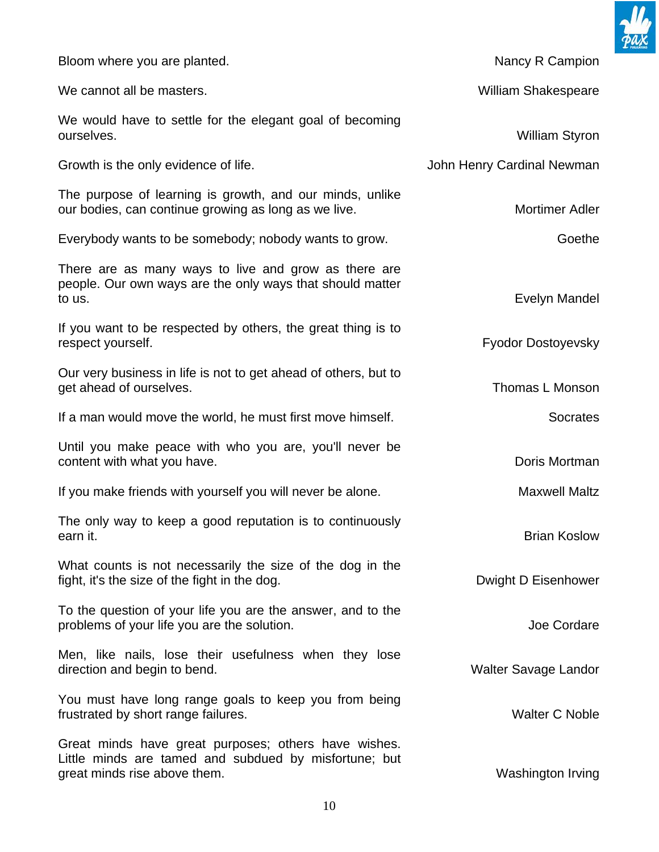

| Bloom where you are planted.                                                                                                                  | Nancy R Campion             |
|-----------------------------------------------------------------------------------------------------------------------------------------------|-----------------------------|
| We cannot all be masters.                                                                                                                     | <b>William Shakespeare</b>  |
| We would have to settle for the elegant goal of becoming<br>ourselves.                                                                        | <b>William Styron</b>       |
| Growth is the only evidence of life.                                                                                                          | John Henry Cardinal Newman  |
| The purpose of learning is growth, and our minds, unlike<br>our bodies, can continue growing as long as we live.                              | <b>Mortimer Adler</b>       |
| Everybody wants to be somebody; nobody wants to grow.                                                                                         | Goethe                      |
| There are as many ways to live and grow as there are<br>people. Our own ways are the only ways that should matter<br>to us.                   | Evelyn Mandel               |
| If you want to be respected by others, the great thing is to<br>respect yourself.                                                             | Fyodor Dostoyevsky          |
| Our very business in life is not to get ahead of others, but to<br>get ahead of ourselves.                                                    | Thomas L Monson             |
| If a man would move the world, he must first move himself.                                                                                    | <b>Socrates</b>             |
| Until you make peace with who you are, you'll never be<br>content with what you have.                                                         | Doris Mortman               |
| If you make friends with yourself you will never be alone.                                                                                    | <b>Maxwell Maltz</b>        |
| The only way to keep a good reputation is to continuously<br>earn it.                                                                         | <b>Brian Koslow</b>         |
| What counts is not necessarily the size of the dog in the<br>fight, it's the size of the fight in the dog.                                    | Dwight D Eisenhower         |
| To the question of your life you are the answer, and to the<br>problems of your life you are the solution.                                    | Joe Cordare                 |
| Men, like nails, lose their usefulness when they lose<br>direction and begin to bend.                                                         | <b>Walter Savage Landor</b> |
| You must have long range goals to keep you from being<br>frustrated by short range failures.                                                  | <b>Walter C Noble</b>       |
| Great minds have great purposes; others have wishes.<br>Little minds are tamed and subdued by misfortune; but<br>great minds rise above them. | Washington Irving           |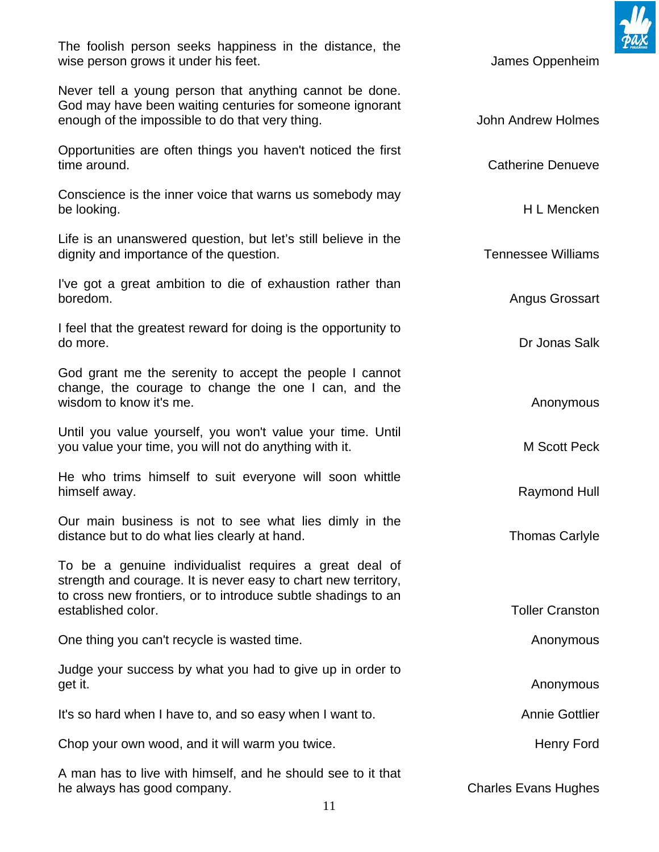The foolish person seeks happiness in the distance, the wise person grows it under his feet. The state of the state of the state of the state of the state of the state of the state of the state of the state of the state of the state of the state of the state of the state of the

Never tell a young person that anything cannot be done. God may have been waiting centuries for someone ignorant enough of the impossible to do that very thing. The state of the Molmes John Andrew Holmes

Opportunities are often things you haven't noticed the first time around. Catherine Denueve

Conscience is the inner voice that warns us somebody may be looking. H L Mencken

Life is an unanswered question, but let's still believe in the dignity and importance of the question. Tennessee Williams

I've got a great ambition to die of exhaustion rather than boredom. Angus Grossart

I feel that the greatest reward for doing is the opportunity to do more. Dr Jonas Salk

God grant me the serenity to accept the people I cannot change, the courage to change the one I can, and the wisdom to know it's me. Anonymous wisdom to know it's me.

Until you value yourself, you won't value your time. Until you value your time, you will not do anything with it. M Scott Peck

He who trims himself to suit everyone will soon whittle himself away. **Raymond Hull** 

Our main business is not to see what lies dimly in the distance but to do what lies clearly at hand. Thomas Carlyle Thomas Carlyle

To be a genuine individualist requires a great deal of strength and courage. It is never easy to chart new territory, to cross new frontiers, or to introduce subtle shadings to an established color. The color color color color color color color color color color color color color color color color color color color color color color color color color color color color color color color color color c

One thing you can't recycle is wasted time. Anonymous can be a set of the set of the set of the set of the set of the set of the set of the set of the set of the set of the set of the set of the set of the set of the set o

Judge your success by what you had to give up in order to get it. Anonymous contract the contract of the contract of the contract of the contract of the contract of the contract of the contract of the contract of the contract of the contract of the contract of the contract of the

It's so hard when I have to, and so easy when I want to. Annie Gottlier

Chop your own wood, and it will warm you twice. The example of the Henry Ford

A man has to live with himself, and he should see to it that he always has good company. The always has good company.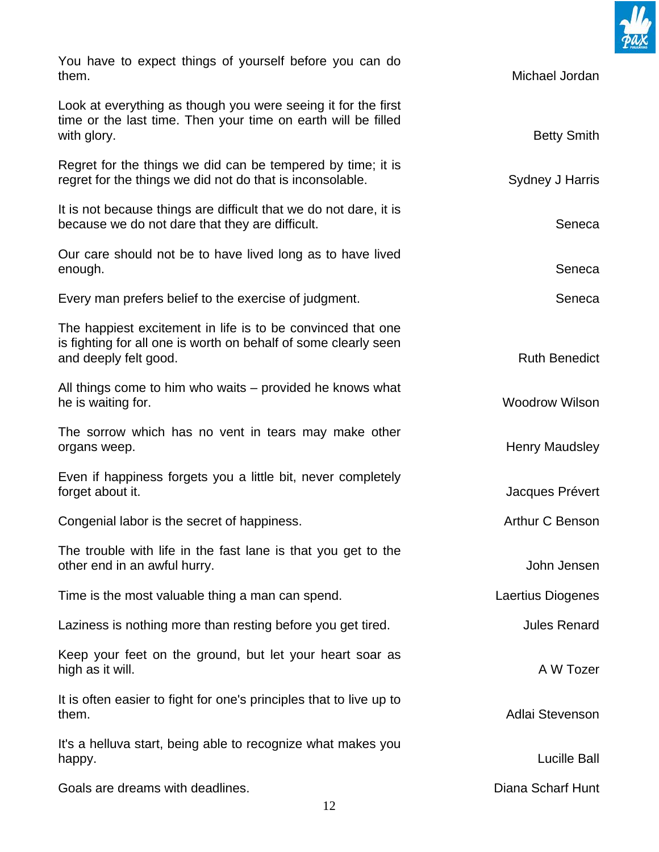

| You have to expect things of yourself before you can do<br>them.                                                                                        | Michael Jordan        |
|---------------------------------------------------------------------------------------------------------------------------------------------------------|-----------------------|
| Look at everything as though you were seeing it for the first<br>time or the last time. Then your time on earth will be filled<br>with glory.           | <b>Betty Smith</b>    |
| Regret for the things we did can be tempered by time; it is<br>regret for the things we did not do that is inconsolable.                                | Sydney J Harris       |
| It is not because things are difficult that we do not dare, it is<br>because we do not dare that they are difficult.                                    | Seneca                |
| Our care should not be to have lived long as to have lived<br>enough.                                                                                   | Seneca                |
| Every man prefers belief to the exercise of judgment.                                                                                                   | Seneca                |
| The happiest excitement in life is to be convinced that one<br>is fighting for all one is worth on behalf of some clearly seen<br>and deeply felt good. | <b>Ruth Benedict</b>  |
| All things come to him who waits – provided he knows what<br>he is waiting for.                                                                         | <b>Woodrow Wilson</b> |
| The sorrow which has no vent in tears may make other<br>organs weep.                                                                                    | <b>Henry Maudsley</b> |
| Even if happiness forgets you a little bit, never completely<br>forget about it.                                                                        | Jacques Prévert       |
| Congenial labor is the secret of happiness.                                                                                                             | Arthur C Benson       |
| The trouble with life in the fast lane is that you get to the<br>other end in an awful hurry.                                                           | John Jensen           |
| Time is the most valuable thing a man can spend.                                                                                                        | Laertius Diogenes     |
| Laziness is nothing more than resting before you get tired.                                                                                             | <b>Jules Renard</b>   |
| Keep your feet on the ground, but let your heart soar as<br>high as it will.                                                                            | A W Tozer             |
| It is often easier to fight for one's principles that to live up to<br>them.                                                                            | Adlai Stevenson       |
| It's a helluva start, being able to recognize what makes you<br>happy.                                                                                  | <b>Lucille Ball</b>   |
| Goals are dreams with deadlines.                                                                                                                        | Diana Scharf Hunt     |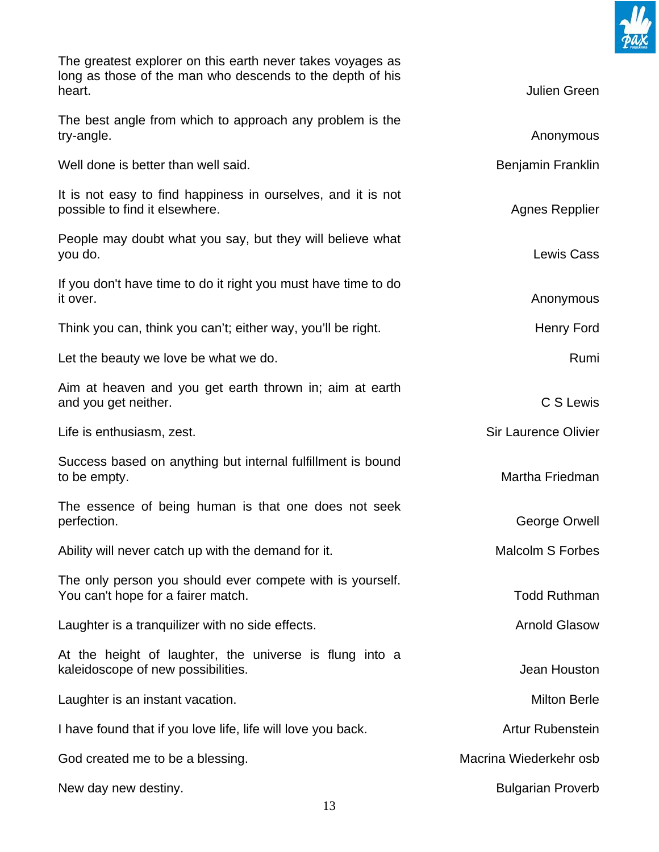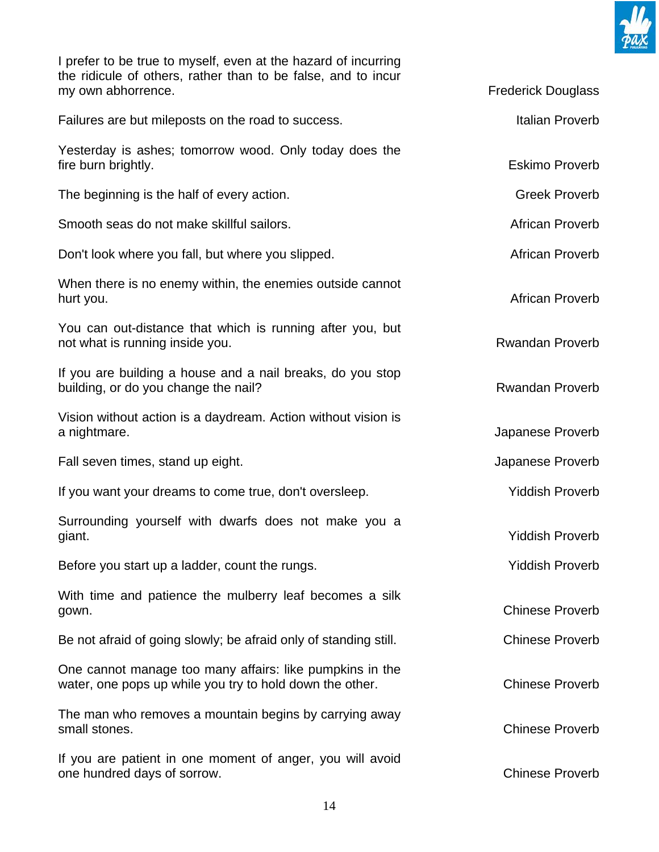

I prefer to be true to myself, even at the hazard of incurring the ridicule of others, rather than to be false, and to incur my own abhorrence. The state of the state of the state of the state of the Frederick Douglass

| Failures are but mileposts on the road to success.                                                                   | Italian Proverb        |
|----------------------------------------------------------------------------------------------------------------------|------------------------|
| Yesterday is ashes; tomorrow wood. Only today does the<br>fire burn brightly.                                        | <b>Eskimo Proverb</b>  |
| The beginning is the half of every action.                                                                           | <b>Greek Proverb</b>   |
| Smooth seas do not make skillful sailors.                                                                            | African Proverb        |
| Don't look where you fall, but where you slipped.                                                                    | African Proverb        |
| When there is no enemy within, the enemies outside cannot<br>hurt you.                                               | African Proverb        |
| You can out-distance that which is running after you, but<br>not what is running inside you.                         | <b>Rwandan Proverb</b> |
| If you are building a house and a nail breaks, do you stop<br>building, or do you change the nail?                   | <b>Rwandan Proverb</b> |
| Vision without action is a daydream. Action without vision is<br>a nightmare.                                        | Japanese Proverb       |
| Fall seven times, stand up eight.                                                                                    | Japanese Proverb       |
| If you want your dreams to come true, don't oversleep.                                                               | <b>Yiddish Proverb</b> |
| Surrounding yourself with dwarfs does not make you a<br>giant.                                                       | <b>Yiddish Proverb</b> |
| Before you start up a ladder, count the rungs.                                                                       | <b>Yiddish Proverb</b> |
| With time and patience the mulberry leaf becomes a silk<br>gown.                                                     | <b>Chinese Proverb</b> |
| Be not afraid of going slowly; be afraid only of standing still.                                                     | <b>Chinese Proverb</b> |
| One cannot manage too many affairs: like pumpkins in the<br>water, one pops up while you try to hold down the other. | <b>Chinese Proverb</b> |
| The man who removes a mountain begins by carrying away<br>small stones.                                              | <b>Chinese Proverb</b> |
| If you are patient in one moment of anger, you will avoid<br>one hundred days of sorrow.                             | <b>Chinese Proverb</b> |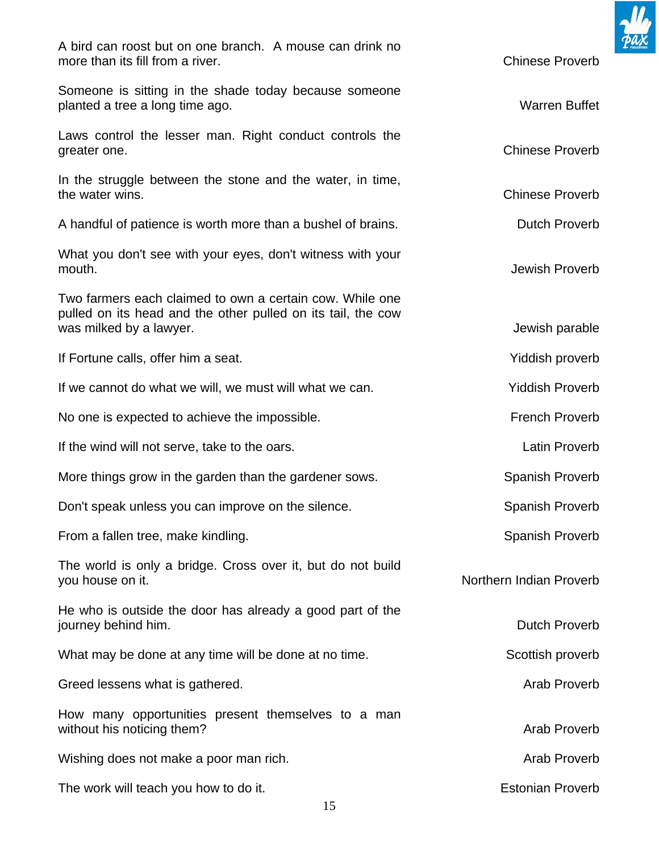

15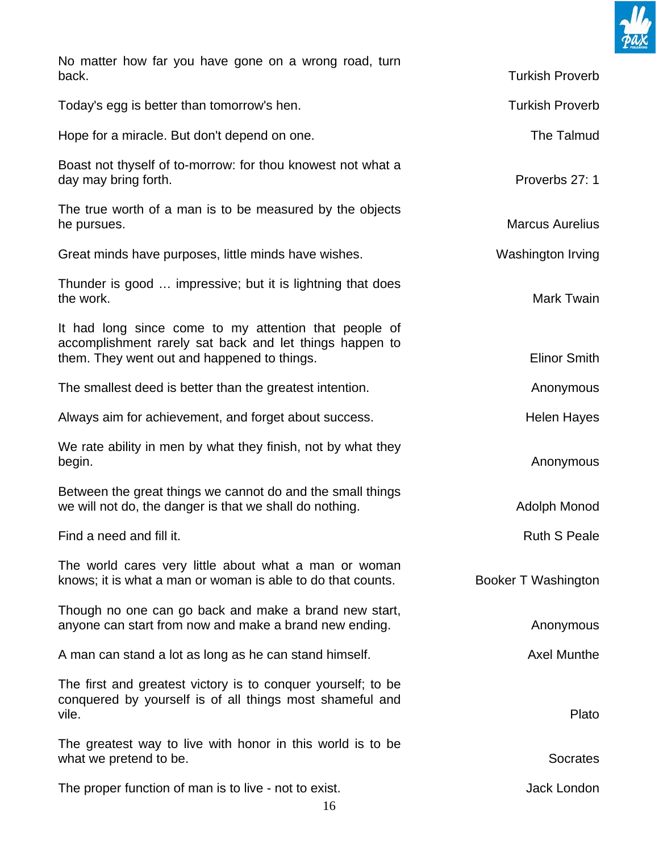

| No matter how far you have gone on a wrong road, turn<br>back.                                                                                                  | <b>Turkish Proverb</b> |
|-----------------------------------------------------------------------------------------------------------------------------------------------------------------|------------------------|
| Today's egg is better than tomorrow's hen.                                                                                                                      | <b>Turkish Proverb</b> |
| Hope for a miracle. But don't depend on one.                                                                                                                    | The Talmud             |
| Boast not thyself of to-morrow: for thou knowest not what a<br>day may bring forth.                                                                             | Proverbs 27: 1         |
| The true worth of a man is to be measured by the objects<br>he pursues.                                                                                         | <b>Marcus Aurelius</b> |
| Great minds have purposes, little minds have wishes.                                                                                                            | Washington Irving      |
| Thunder is good  impressive; but it is lightning that does<br>the work.                                                                                         | Mark Twain             |
| It had long since come to my attention that people of<br>accomplishment rarely sat back and let things happen to<br>them. They went out and happened to things. | <b>Elinor Smith</b>    |
| The smallest deed is better than the greatest intention.                                                                                                        | Anonymous              |
| Always aim for achievement, and forget about success.                                                                                                           | <b>Helen Hayes</b>     |
| We rate ability in men by what they finish, not by what they<br>begin.                                                                                          | Anonymous              |
| Between the great things we cannot do and the small things<br>we will not do, the danger is that we shall do nothing.                                           | Adolph Monod           |
| Find a need and fill it.                                                                                                                                        | <b>Ruth S Peale</b>    |
| The world cares very little about what a man or woman<br>knows; it is what a man or woman is able to do that counts.                                            | Booker T Washington    |
| Though no one can go back and make a brand new start,<br>anyone can start from now and make a brand new ending.                                                 | Anonymous              |
| A man can stand a lot as long as he can stand himself.                                                                                                          | <b>Axel Munthe</b>     |
| The first and greatest victory is to conquer yourself; to be<br>conquered by yourself is of all things most shameful and<br>vile.                               | Plato                  |
| The greatest way to live with honor in this world is to be<br>what we pretend to be.                                                                            | <b>Socrates</b>        |
| The proper function of man is to live - not to exist.                                                                                                           | Jack London            |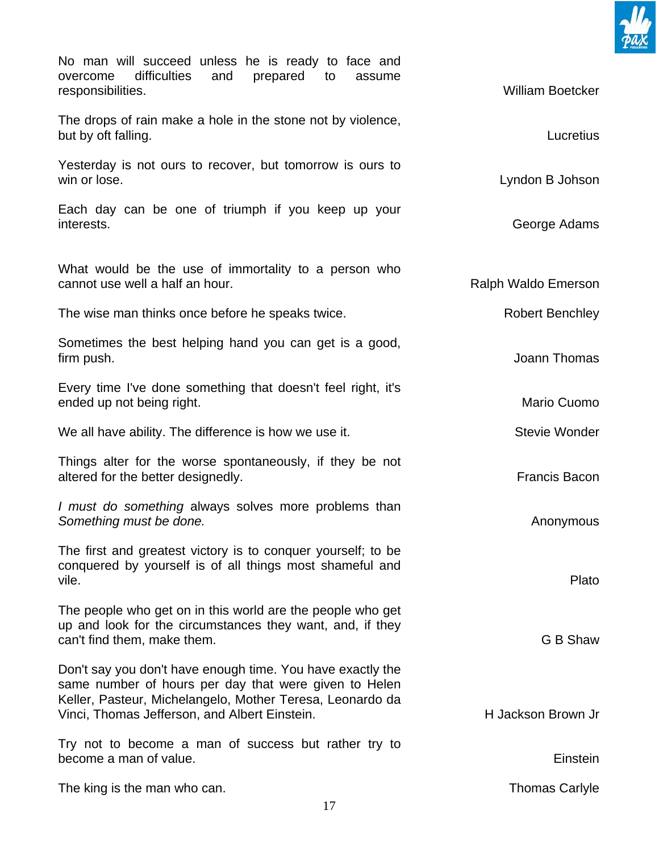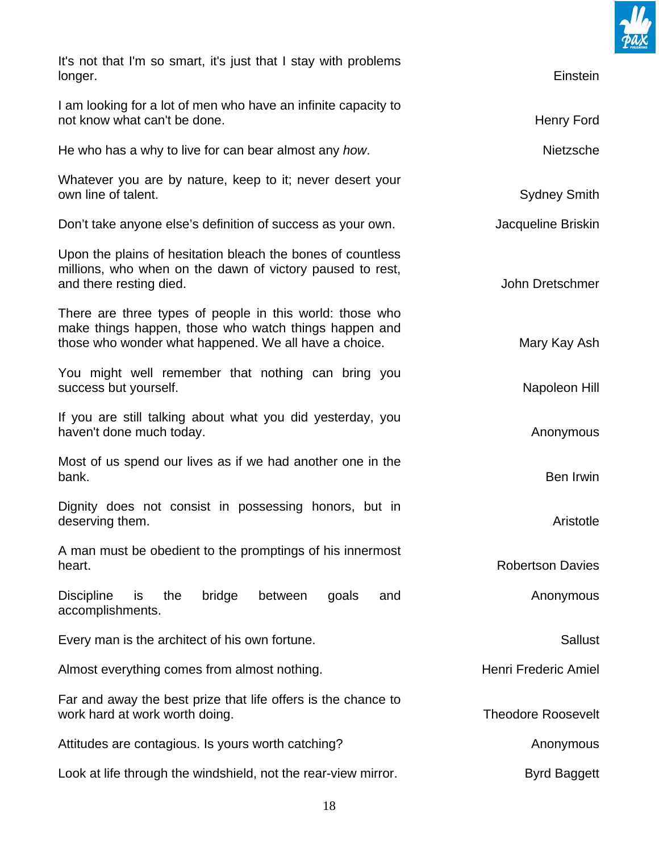

| It's not that I'm so smart, it's just that I stay with problems<br>longer.                                                                                                 | Einstein                  |
|----------------------------------------------------------------------------------------------------------------------------------------------------------------------------|---------------------------|
| I am looking for a lot of men who have an infinite capacity to<br>not know what can't be done.                                                                             | Henry Ford                |
| He who has a why to live for can bear almost any how.                                                                                                                      | Nietzsche                 |
| Whatever you are by nature, keep to it; never desert your<br>own line of talent.                                                                                           | <b>Sydney Smith</b>       |
| Don't take anyone else's definition of success as your own.                                                                                                                | Jacqueline Briskin        |
| Upon the plains of hesitation bleach the bones of countless<br>millions, who when on the dawn of victory paused to rest,<br>and there resting died.                        | John Dretschmer           |
| There are three types of people in this world: those who<br>make things happen, those who watch things happen and<br>those who wonder what happened. We all have a choice. | Mary Kay Ash              |
| You might well remember that nothing can bring you<br>success but yourself.                                                                                                | Napoleon Hill             |
| If you are still talking about what you did yesterday, you<br>haven't done much today.                                                                                     | Anonymous                 |
| Most of us spend our lives as if we had another one in the<br>bank.                                                                                                        | Ben Irwin                 |
| Dignity does not consist in possessing honors, but in<br>deserving them.                                                                                                   | Aristotle                 |
| A man must be obedient to the promptings of his innermost<br>heart.                                                                                                        | <b>Robertson Davies</b>   |
| <b>Discipline</b><br>is<br>the<br>bridge<br>between<br>goals<br>and<br>accomplishments.                                                                                    | Anonymous                 |
| Every man is the architect of his own fortune.                                                                                                                             | <b>Sallust</b>            |
| Almost everything comes from almost nothing.                                                                                                                               | Henri Frederic Amiel      |
| Far and away the best prize that life offers is the chance to<br>work hard at work worth doing.                                                                            | <b>Theodore Roosevelt</b> |
| Attitudes are contagious. Is yours worth catching?                                                                                                                         | Anonymous                 |
| Look at life through the windshield, not the rear-view mirror.                                                                                                             | <b>Byrd Baggett</b>       |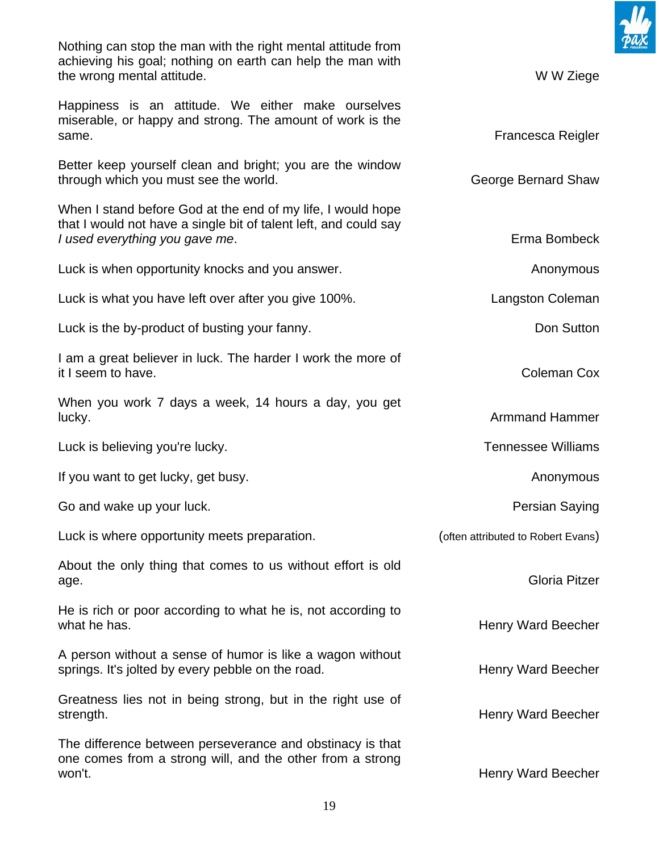Nothing can stop the man with the right mental attitude from achieving his goal; nothing on earth can help the man with the wrong mental attitude. W W Ziege

Happiness is an attitude. We either make ourselves miserable, or happy and strong. The amount of work is the same. The same of the state of the state of the state of the state of the state of the state of the state of the state of the state of the state of the state of the state of the state of the state of the state of the state

Better keep yourself clean and bright; you are the window through which you must see the world. The state of the George Bernard Shaw

When I stand before God at the end of my life, I would hope that I would not have a single bit of talent left, and could say *I* used everything you gave me. **Example 20 and 20 and 20 and 20 and 20 and 20 and 20 and 20 and 20 and 20 and 20 and 20 and 20 and 20 and 20 and 20 and 20 and 20 and 20 and 20 and 20 and 20 and 20 and 20 and 20 and 20 an** 

Luck is when opportunity knocks and you answer. Anonymous and you answer.

Luck is what you have left over after you give 100%. Langston Coleman

Luck is the by-product of busting your fanny.

I am a great believer in luck. The harder I work the more of it I seem to have. **Coleman Cox** 

When you work 7 days a week, 14 hours a day, you get lucky. Armmand Hammer and the state of the state of the state of the state of the state of the state of the state of the state of the state of the state of the state of the state of the state of the state of the state of t

Luck is believing you're lucky. The same state of the state of the Tennessee Williams

If you want to get lucky, get busy. Anonymous and the state of the state of the state of the state of the state of the state of the state of the state of the state of the state of the state of the state of the state of the

Go and wake up your luck. The example of the extension of the extent of the Persian Saying

Luck is where opportunity meets preparation. (often attributed to Robert Evans)

About the only thing that comes to us without effort is old age. Gloria Pitzer

He is rich or poor according to what he is, not according to what he has. **Henry Ward Beecher has a structure of the structure of the structure of the structure of the structure of the structure of the structure of the structure of the structure of the structure of the structure o** 

A person without a sense of humor is like a wagon without springs. It's jolted by every pebble on the road. Henry Ward Beecher

Greatness lies not in being strong, but in the right use of strength. **Example 20** Strength. **Henry Ward Beecher** 

The difference between perseverance and obstinacy is that one comes from a strong will, and the other from a strong won't. **Example 2018** Won't and the extent of the extent of the extent of the Henry Ward Beecher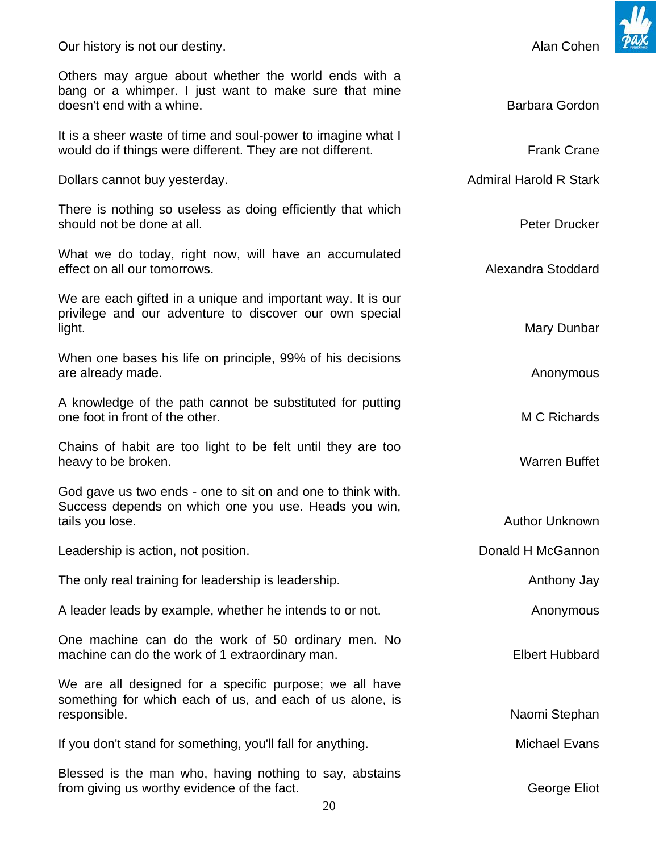doesn't end with a whine. Barbara Gordon and the Barbara Gordon and the Barbara Gordon and the Barbara Gordon It is a sheer waste of time and soul-power to imagine what I would do if things were different. They are not different. The same state of the Frank Crane Dollars cannot buy yesterday. Admiral Harold R Stark There is nothing so useless as doing efficiently that which should not be done at all. **Peter Drucker Peter Drucker Peter Drucker** What we do today, right now, will have an accumulated effect on all our tomorrows. Alexandra Stoddard effect on all our tomorrows. We are each gifted in a unique and important way. It is our privilege and our adventure to discover our own special light. Mary Dunbar When one bases his life on principle, 99% of his decisions are already made. Anonymous are already made. A knowledge of the path cannot be substituted for putting one foot in front of the other. M C Richards Chains of habit are too light to be felt until they are too heavy to be broken. The state of the state of the state of the warren Buffet when the warren Buffet God gave us two ends - one to sit on and one to think with. Success depends on which one you use. Heads you win, tails you lose. Author Unknown Leadership is action, not position. Donald H McGannon The only real training for leadership is leadership. The only real training for leadership is leadership. A leader leads by example, whether he intends to or not. Anonymous Anonymous One machine can do the work of 50 ordinary men. No machine can do the work of 1 extraordinary man. The manuscript of the Elbert Hubbard We are all designed for a specific purpose; we all have something for which each of us, and each of us alone, is responsible. Naomi Stephan Naomi Stephan Naomi Stephan Naomi Stephan Naomi Stephan If you don't stand for something, you'll fall for anything. The manuscript of Michael Evans Blessed is the man who, having nothing to say, abstains

20

Others may argue about whether the world ends with a bang or a whimper. I just want to make sure that mine

from giving us worthy evidence of the fact. George Eliot George Eliot